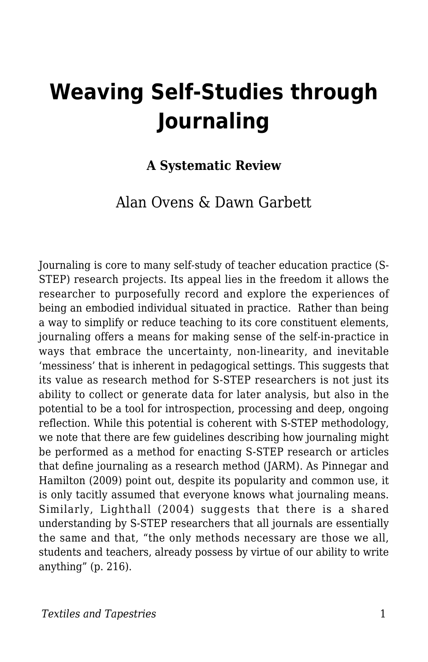# **Weaving Self-Studies through Journaling**

### **A Systematic Review**

### Alan Ovens & Dawn Garbett

Journaling is core to many self-study of teacher education practice (S-STEP) research projects. Its appeal lies in the freedom it allows the researcher to purposefully record and explore the experiences of being an embodied individual situated in practice. Rather than being a way to simplify or reduce teaching to its core constituent elements, journaling offers a means for making sense of the self-in-practice in ways that embrace the uncertainty, non-linearity, and inevitable 'messiness' that is inherent in pedagogical settings. This suggests that its value as research method for S-STEP researchers is not just its ability to collect or generate data for later analysis, but also in the potential to be a tool for introspection, processing and deep, ongoing reflection. While this potential is coherent with S-STEP methodology, we note that there are few guidelines describing how journaling might be performed as a method for enacting S-STEP research or articles that define journaling as a research method (JARM). As Pinnegar and Hamilton (2009) point out, despite its popularity and common use, it is only tacitly assumed that everyone knows what journaling means. Similarly, Lighthall (2004) suggests that there is a shared understanding by S-STEP researchers that all journals are essentially the same and that, "the only methods necessary are those we all, students and teachers, already possess by virtue of our ability to write anything" (p. 216).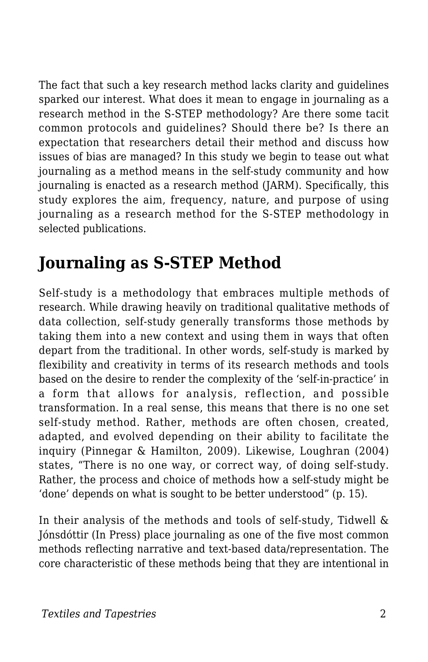The fact that such a key research method lacks clarity and guidelines sparked our interest. What does it mean to engage in journaling as a research method in the S-STEP methodology? Are there some tacit common protocols and guidelines? Should there be? Is there an expectation that researchers detail their method and discuss how issues of bias are managed? In this study we begin to tease out what journaling as a method means in the self-study community and how journaling is enacted as a research method (JARM). Specifically, this study explores the aim, frequency, nature, and purpose of using journaling as a research method for the S-STEP methodology in selected publications.

### **Journaling as S-STEP Method**

Self-study is a methodology that embraces multiple methods of research. While drawing heavily on traditional qualitative methods of data collection, self-study generally transforms those methods by taking them into a new context and using them in ways that often depart from the traditional. In other words, self-study is marked by flexibility and creativity in terms of its research methods and tools based on the desire to render the complexity of the 'self-in-practice' in a form that allows for analysis, reflection, and possible transformation. In a real sense, this means that there is no one set self-study method. Rather, methods are often chosen, created, adapted, and evolved depending on their ability to facilitate the inquiry (Pinnegar & Hamilton, 2009). Likewise, Loughran (2004) states, "There is no one way, or correct way, of doing self-study. Rather, the process and choice of methods how a self-study might be 'done' depends on what is sought to be better understood" (p. 15).

In their analysis of the methods and tools of self-study, Tidwell & Jónsdóttir (In Press) place journaling as one of the five most common methods reflecting narrative and text-based data/representation. The core characteristic of these methods being that they are intentional in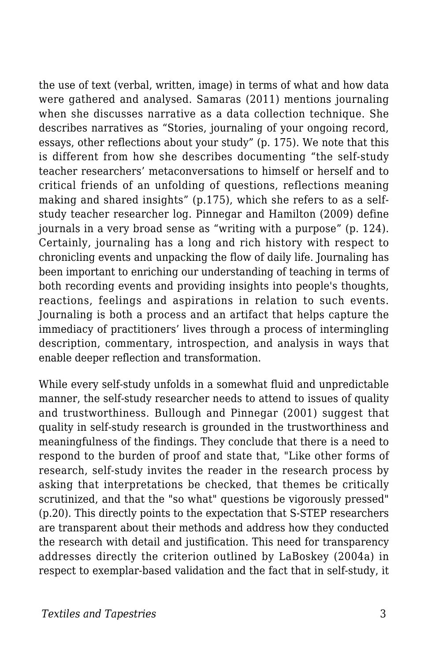the use of text (verbal, written, image) in terms of what and how data were gathered and analysed. Samaras (2011) mentions journaling when she discusses narrative as a data collection technique. She describes narratives as "Stories, journaling of your ongoing record, essays, other reflections about your study" (p. 175). We note that this is different from how she describes documenting "the self-study teacher researchers' metaconversations to himself or herself and to critical friends of an unfolding of questions, reflections meaning making and shared insights" (p.175), which she refers to as a selfstudy teacher researcher log. Pinnegar and Hamilton (2009) define journals in a very broad sense as "writing with a purpose" (p. 124). Certainly, journaling has a long and rich history with respect to chronicling events and unpacking the flow of daily life. Journaling has been important to enriching our understanding of teaching in terms of both recording events and providing insights into people's thoughts, reactions, feelings and aspirations in relation to such events. Journaling is both a process and an artifact that helps capture the immediacy of practitioners' lives through a process of intermingling description, commentary, introspection, and analysis in ways that enable deeper reflection and transformation.

While every self-study unfolds in a somewhat fluid and unpredictable manner, the self-study researcher needs to attend to issues of quality and trustworthiness. Bullough and Pinnegar (2001) suggest that quality in self-study research is grounded in the trustworthiness and meaningfulness of the findings. They conclude that there is a need to respond to the burden of proof and state that, "Like other forms of research, self-study invites the reader in the research process by asking that interpretations be checked, that themes be critically scrutinized, and that the "so what" questions be vigorously pressed" (p.20). This directly points to the expectation that S-STEP researchers are transparent about their methods and address how they conducted the research with detail and justification. This need for transparency addresses directly the criterion outlined by LaBoskey (2004a) in respect to exemplar-based validation and the fact that in self-study, it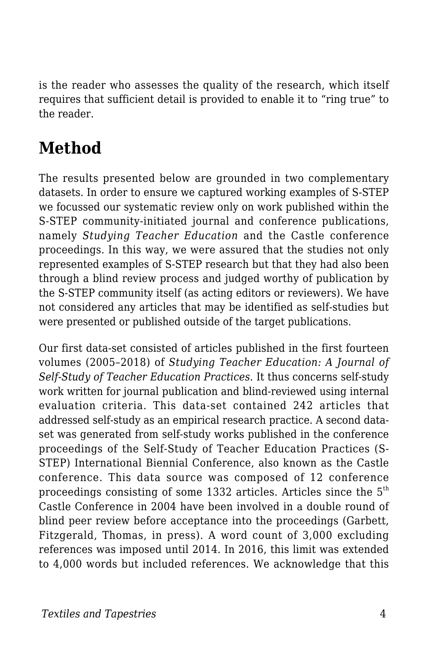is the reader who assesses the quality of the research, which itself requires that sufficient detail is provided to enable it to "ring true" to the reader.

### **Method**

The results presented below are grounded in two complementary datasets. In order to ensure we captured working examples of S-STEP we focussed our systematic review only on work published within the S-STEP community-initiated journal and conference publications, namely *Studying Teacher Education* and the Castle conference proceedings. In this way, we were assured that the studies not only represented examples of S-STEP research but that they had also been through a blind review process and judged worthy of publication by the S-STEP community itself (as acting editors or reviewers). We have not considered any articles that may be identified as self-studies but were presented or published outside of the target publications.

Our first data-set consisted of articles published in the first fourteen volumes (2005–2018) of *Studying Teacher Education: A Journal of Self-Study of Teacher Education Practices*. It thus concerns self-study work written for journal publication and blind-reviewed using internal evaluation criteria. This data-set contained 242 articles that addressed self-study as an empirical research practice. A second dataset was generated from self-study works published in the conference proceedings of the Self-Study of Teacher Education Practices (S-STEP) International Biennial Conference, also known as the Castle conference. This data source was composed of 12 conference proceedings consisting of some 1332 articles. Articles since the  $5<sup>th</sup>$ Castle Conference in 2004 have been involved in a double round of blind peer review before acceptance into the proceedings (Garbett, Fitzgerald, Thomas, in press). A word count of 3,000 excluding references was imposed until 2014. In 2016, this limit was extended to 4,000 words but included references. We acknowledge that this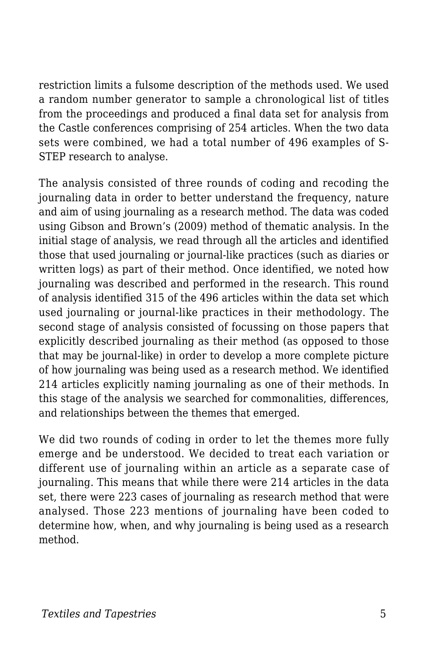restriction limits a fulsome description of the methods used. We used a random number generator to sample a chronological list of titles from the proceedings and produced a final data set for analysis from the Castle conferences comprising of 254 articles. When the two data sets were combined, we had a total number of 496 examples of S-STEP research to analyse.

The analysis consisted of three rounds of coding and recoding the journaling data in order to better understand the frequency, nature and aim of using journaling as a research method. The data was coded using Gibson and Brown's (2009) method of thematic analysis. In the initial stage of analysis, we read through all the articles and identified those that used journaling or journal-like practices (such as diaries or written logs) as part of their method. Once identified, we noted how journaling was described and performed in the research. This round of analysis identified 315 of the 496 articles within the data set which used journaling or journal-like practices in their methodology. The second stage of analysis consisted of focussing on those papers that explicitly described journaling as their method (as opposed to those that may be journal-like) in order to develop a more complete picture of how journaling was being used as a research method. We identified 214 articles explicitly naming journaling as one of their methods. In this stage of the analysis we searched for commonalities, differences, and relationships between the themes that emerged.

We did two rounds of coding in order to let the themes more fully emerge and be understood. We decided to treat each variation or different use of journaling within an article as a separate case of journaling. This means that while there were 214 articles in the data set, there were 223 cases of journaling as research method that were analysed. Those 223 mentions of journaling have been coded to determine how, when, and why journaling is being used as a research method.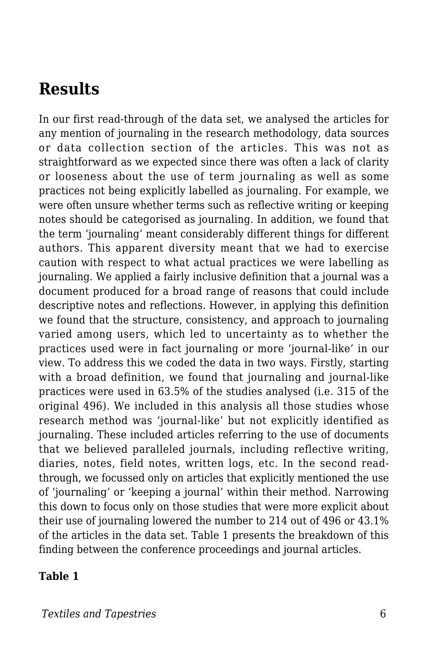### **Results**

In our first read-through of the data set, we analysed the articles for any mention of journaling in the research methodology, data sources or data collection section of the articles. This was not as straightforward as we expected since there was often a lack of clarity or looseness about the use of term journaling as well as some practices not being explicitly labelled as journaling. For example, we were often unsure whether terms such as reflective writing or keeping notes should be categorised as journaling. In addition, we found that the term 'journaling' meant considerably different things for different authors. This apparent diversity meant that we had to exercise caution with respect to what actual practices we were labelling as journaling. We applied a fairly inclusive definition that a journal was a document produced for a broad range of reasons that could include descriptive notes and reflections. However, in applying this definition we found that the structure, consistency, and approach to journaling varied among users, which led to uncertainty as to whether the practices used were in fact journaling or more 'journal-like' in our view. To address this we coded the data in two ways. Firstly, starting with a broad definition, we found that journaling and journal-like practices were used in 63.5% of the studies analysed (i.e. 315 of the original 496). We included in this analysis all those studies whose research method was 'journal-like' but not explicitly identified as journaling. These included articles referring to the use of documents that we believed paralleled journals, including reflective writing, diaries, notes, field notes, written logs, etc. In the second readthrough, we focussed only on articles that explicitly mentioned the use of 'journaling' or 'keeping a journal' within their method. Narrowing this down to focus only on those studies that were more explicit about their use of journaling lowered the number to 214 out of 496 or 43.1% of the articles in the data set. Table 1 presents the breakdown of this finding between the conference proceedings and journal articles.

#### **Table 1**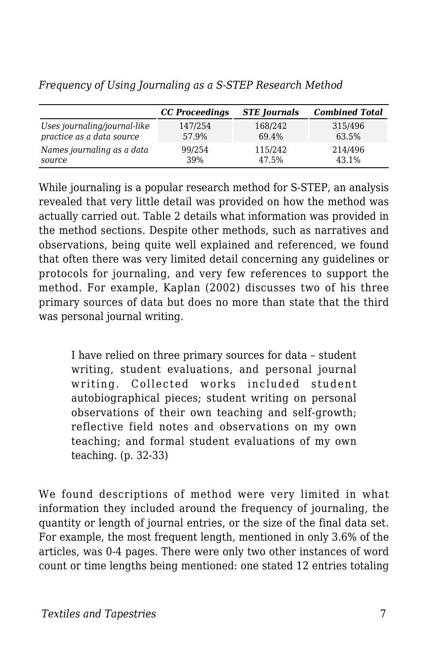|                              | <b>CC</b> Proceedings | <b>STE</b> Journals | <b>Combined Total</b> |
|------------------------------|-----------------------|---------------------|-----------------------|
| Uses journaling/journal-like | 147/254               | 168/242             | 315/496               |
| practice as a data source    | 57.9%                 | 69.4%               | 63.5%                 |
| Names journaling as a data   | 99/254                | 115/242             | 214/496               |
| source                       | 39%                   | 47.5%               | 43.1%                 |

*Frequency of Using Journaling as a S-STEP Research Method*

While journaling is a popular research method for S-STEP, an analysis revealed that very little detail was provided on how the method was actually carried out. Table 2 details what information was provided in the method sections. Despite other methods, such as narratives and observations, being quite well explained and referenced, we found that often there was very limited detail concerning any guidelines or protocols for journaling, and very few references to support the method. For example, Kaplan (2002) discusses two of his three primary sources of data but does no more than state that the third was personal journal writing.

I have relied on three primary sources for data – student writing, student evaluations, and personal journal writing. Collected works included student autobiographical pieces; student writing on personal observations of their own teaching and self-growth; reflective field notes and observations on my own teaching; and formal student evaluations of my own teaching. (p. 32-33)

We found descriptions of method were very limited in what information they included around the frequency of journaling, the quantity or length of journal entries, or the size of the final data set. For example, the most frequent length, mentioned in only 3.6% of the articles, was 0-4 pages. There were only two other instances of word count or time lengths being mentioned: one stated 12 entries totaling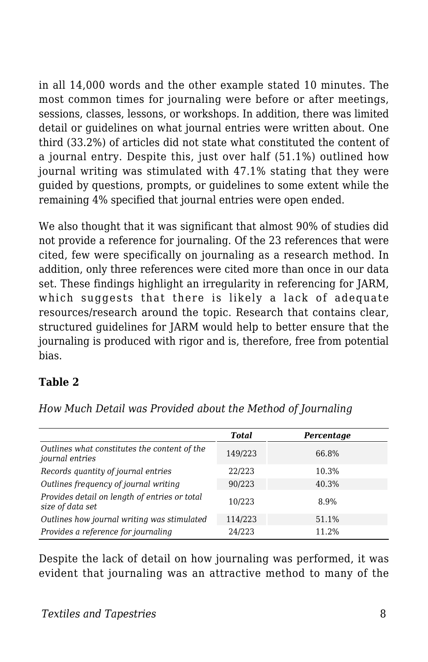in all 14,000 words and the other example stated 10 minutes. The most common times for journaling were before or after meetings, sessions, classes, lessons, or workshops. In addition, there was limited detail or guidelines on what journal entries were written about. One third (33.2%) of articles did not state what constituted the content of a journal entry. Despite this, just over half (51.1%) outlined how journal writing was stimulated with 47.1% stating that they were guided by questions, prompts, or guidelines to some extent while the remaining 4% specified that journal entries were open ended.

We also thought that it was significant that almost 90% of studies did not provide a reference for journaling. Of the 23 references that were cited, few were specifically on journaling as a research method. In addition, only three references were cited more than once in our data set. These findings highlight an irregularity in referencing for JARM, which suggests that there is likely a lack of adequate resources/research around the topic. Research that contains clear, structured guidelines for JARM would help to better ensure that the journaling is produced with rigor and is, therefore, free from potential bias.

#### **Table 2**

|                                                                   | Total   | Percentage |
|-------------------------------------------------------------------|---------|------------|
| Outlines what constitutes the content of the<br>journal entries   | 149/223 | 66.8%      |
| Records quantity of journal entries                               | 22/223  | 10.3%      |
| Outlines frequency of journal writing                             | 90/223  | 40.3%      |
| Provides detail on length of entries or total<br>size of data set | 10/223  | 8.9%       |
| Outlines how journal writing was stimulated                       | 114/223 | 51.1%      |
| Provides a reference for journaling                               | 24/223  | 11.2%      |

*How Much Detail was Provided about the Method of Journaling*

Despite the lack of detail on how journaling was performed, it was evident that journaling was an attractive method to many of the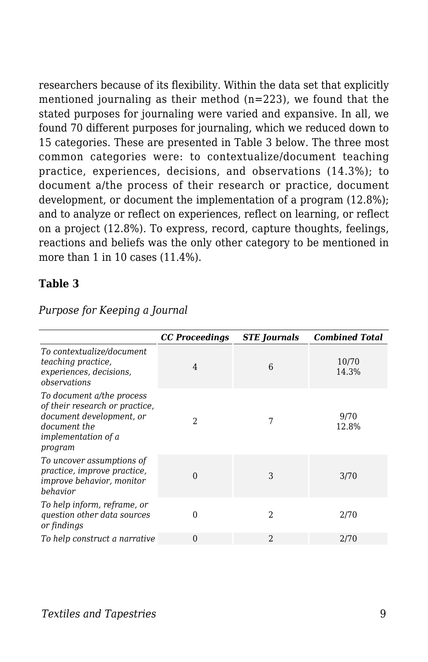researchers because of its flexibility. Within the data set that explicitly mentioned journaling as their method (n=223), we found that the stated purposes for journaling were varied and expansive. In all, we found 70 different purposes for journaling, which we reduced down to 15 categories. These are presented in Table 3 below. The three most common categories were: to contextualize/document teaching practice, experiences, decisions, and observations (14.3%); to document a/the process of their research or practice, document development, or document the implementation of a program (12.8%); and to analyze or reflect on experiences, reflect on learning, or reflect on a project (12.8%). To express, record, capture thoughts, feelings, reactions and beliefs was the only other category to be mentioned in more than 1 in 10 cases (11.4%).

#### **Table 3**

|                                                                                                                                                  | <b>CC</b> Proceedings | <b>STE</b> Journals | <b>Combined Total</b> |
|--------------------------------------------------------------------------------------------------------------------------------------------------|-----------------------|---------------------|-----------------------|
| To contextualize/document<br>teaching practice,<br>experiences, decisions,<br>observations                                                       | 4                     | 6                   | 10/70<br>14.3%        |
| To document a/the process<br>of their research or practice,<br>document development, or<br>document the<br><i>implementation of a</i><br>program | $\mathfrak{D}$        | 7                   | 9/70<br>12.8%         |
| To uncover assumptions of<br>practice, improve practice,<br><i>improve behavior</i> , <i>monitor</i><br>behavior                                 | 0                     | 3                   | 3/70                  |
| To help inform, reframe, or<br>question other data sources<br>or findings                                                                        | $\Omega$              | 2                   | 2/70                  |
| To help construct a narrative                                                                                                                    | $\overline{0}$        | $\overline{2}$      | 2/70                  |

*Purpose for Keeping a Journal*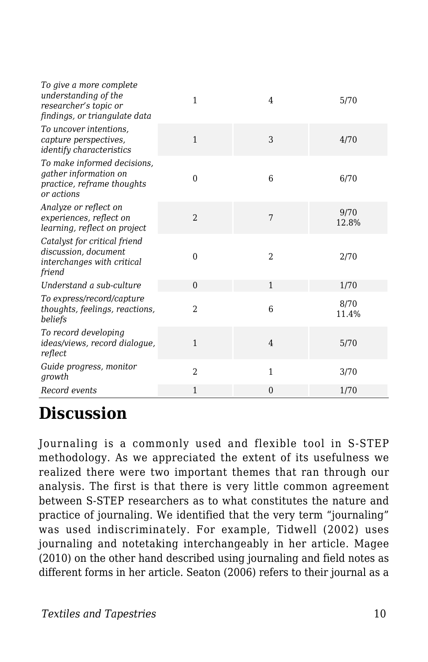| To give a more complete<br>understanding of the<br>researcher's topic or<br>findings, or triangulate data | 1                        | 4              | 5/70          |
|-----------------------------------------------------------------------------------------------------------|--------------------------|----------------|---------------|
| To uncover intentions,<br>capture perspectives,<br><i>identify characteristics</i>                        | $\mathbf{1}$             | 3              | 4/70          |
| To make informed decisions,<br>gather information on<br>practice, reframe thoughts<br>or actions          | $\theta$                 | 6              | 6/70          |
| Analyze or reflect on<br>experiences, reflect on<br>learning, reflect on project                          | $\overline{2}$           | 7              | 9/70<br>12.8% |
| Catalyst for critical friend<br>discussion, document<br>interchanges with critical<br>friend              | $\theta$                 | $\overline{2}$ | 2/70          |
| Understand a sub-culture                                                                                  | $\theta$                 | $\mathbf{1}$   | 1/70          |
| To express/record/capture<br>thoughts, feelings, reactions,<br>beliefs                                    | $\overline{2}$           | 6              | 8/70<br>11.4% |
| To record developing<br>ideas/views, record dialogue,<br>reflect                                          | $\mathbf{1}$             | $\overline{4}$ | 5/70          |
| Guide progress, monitor<br>growth                                                                         | $\overline{\mathcal{L}}$ | $\mathbf{1}$   | 3/70          |
| Record events                                                                                             | 1                        | $\overline{0}$ | 1/70          |

## **Discussion**

Journaling is a commonly used and flexible tool in S-STEP methodology. As we appreciated the extent of its usefulness we realized there were two important themes that ran through our analysis. The first is that there is very little common agreement between S-STEP researchers as to what constitutes the nature and practice of journaling. We identified that the very term "journaling" was used indiscriminately. For example, Tidwell (2002) uses journaling and notetaking interchangeably in her article. Magee (2010) on the other hand described using journaling and field notes as different forms in her article. Seaton (2006) refers to their journal as a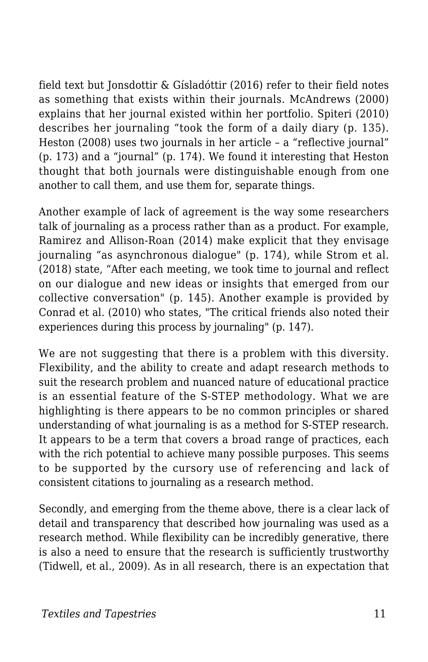field text but Jonsdottir & Gísladóttir (2016) refer to their field notes as something that exists within their journals. McAndrews (2000) explains that her journal existed within her portfolio. Spiteri (2010) describes her journaling "took the form of a daily diary (p. 135). Heston (2008) uses two journals in her article – a "reflective journal" (p. 173) and a "journal" (p. 174). We found it interesting that Heston thought that both journals were distinguishable enough from one another to call them, and use them for, separate things.

Another example of lack of agreement is the way some researchers talk of journaling as a process rather than as a product. For example, Ramirez and Allison-Roan (2014) make explicit that they envisage journaling "as asynchronous dialogue" (p. 174), while Strom et al. (2018) state, "After each meeting, we took time to journal and reflect on our dialogue and new ideas or insights that emerged from our collective conversation" (p. 145). Another example is provided by Conrad et al. (2010) who states, "The critical friends also noted their experiences during this process by journaling" (p. 147).

We are not suggesting that there is a problem with this diversity. Flexibility, and the ability to create and adapt research methods to suit the research problem and nuanced nature of educational practice is an essential feature of the S-STEP methodology. What we are highlighting is there appears to be no common principles or shared understanding of what journaling is as a method for S-STEP research. It appears to be a term that covers a broad range of practices, each with the rich potential to achieve many possible purposes. This seems to be supported by the cursory use of referencing and lack of consistent citations to journaling as a research method.

Secondly, and emerging from the theme above, there is a clear lack of detail and transparency that described how journaling was used as a research method. While flexibility can be incredibly generative, there is also a need to ensure that the research is sufficiently trustworthy (Tidwell, et al., 2009). As in all research, there is an expectation that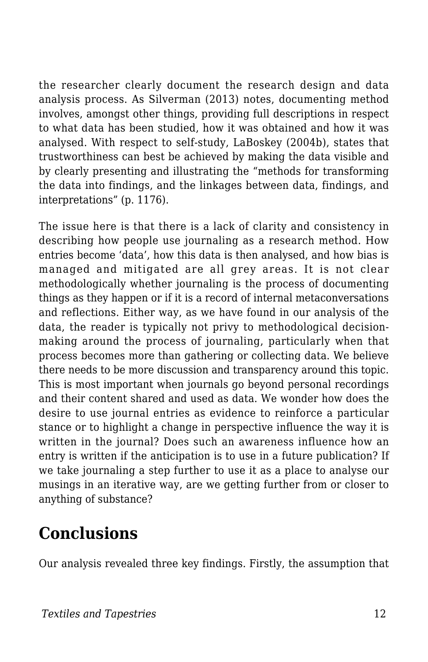the researcher clearly document the research design and data analysis process. As Silverman (2013) notes, documenting method involves, amongst other things, providing full descriptions in respect to what data has been studied, how it was obtained and how it was analysed. With respect to self-study, LaBoskey (2004b), states that trustworthiness can best be achieved by making the data visible and by clearly presenting and illustrating the "methods for transforming the data into findings, and the linkages between data, findings, and interpretations" (p. 1176).

The issue here is that there is a lack of clarity and consistency in describing how people use journaling as a research method. How entries become 'data', how this data is then analysed, and how bias is managed and mitigated are all grey areas. It is not clear methodologically whether journaling is the process of documenting things as they happen or if it is a record of internal metaconversations and reflections. Either way, as we have found in our analysis of the data, the reader is typically not privy to methodological decisionmaking around the process of journaling, particularly when that process becomes more than gathering or collecting data. We believe there needs to be more discussion and transparency around this topic. This is most important when journals go beyond personal recordings and their content shared and used as data. We wonder how does the desire to use journal entries as evidence to reinforce a particular stance or to highlight a change in perspective influence the way it is written in the journal? Does such an awareness influence how an entry is written if the anticipation is to use in a future publication? If we take journaling a step further to use it as a place to analyse our musings in an iterative way, are we getting further from or closer to anything of substance?

### **Conclusions**

Our analysis revealed three key findings. Firstly, the assumption that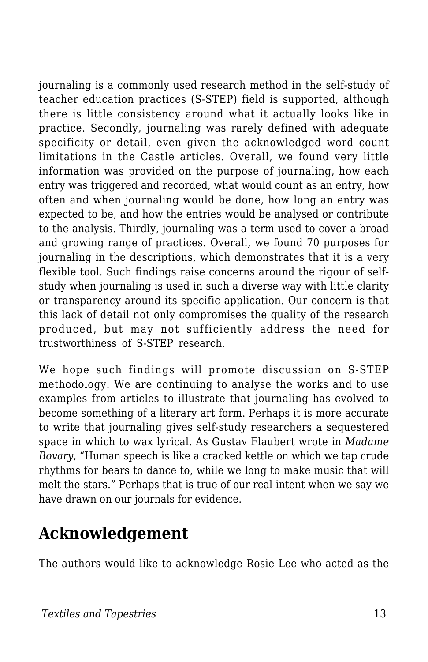journaling is a commonly used research method in the self-study of teacher education practices (S-STEP) field is supported, although there is little consistency around what it actually looks like in practice. Secondly, journaling was rarely defined with adequate specificity or detail, even given the acknowledged word count limitations in the Castle articles. Overall, we found very little information was provided on the purpose of journaling, how each entry was triggered and recorded, what would count as an entry, how often and when journaling would be done, how long an entry was expected to be, and how the entries would be analysed or contribute to the analysis. Thirdly, journaling was a term used to cover a broad and growing range of practices. Overall, we found 70 purposes for journaling in the descriptions, which demonstrates that it is a very flexible tool. Such findings raise concerns around the rigour of selfstudy when journaling is used in such a diverse way with little clarity or transparency around its specific application. Our concern is that this lack of detail not only compromises the quality of the research produced, but may not sufficiently address the need for trustworthiness of S-STEP research.

We hope such findings will promote discussion on S-STEP methodology. We are continuing to analyse the works and to use examples from articles to illustrate that journaling has evolved to become something of a literary art form. Perhaps it is more accurate to write that journaling gives self-study researchers a sequestered space in which to wax lyrical. As Gustav Flaubert wrote in *Madame Bovary*, "Human speech is like a cracked kettle on which we tap crude rhythms for bears to dance to, while we long to make music that will melt the stars." Perhaps that is true of our real intent when we say we have drawn on our journals for evidence.

## **Acknowledgement**

The authors would like to acknowledge Rosie Lee who acted as the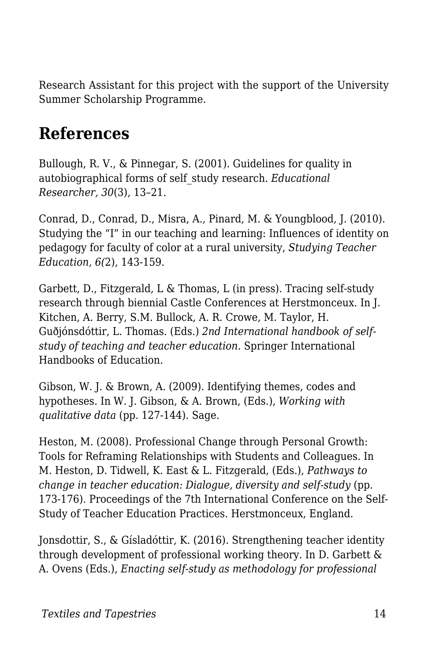Research Assistant for this project with the support of the University Summer Scholarship Programme.

### **References**

Bullough, R. V., & Pinnegar, S. (2001). Guidelines for quality in autobiographical forms of self\_study research. *Educational Researcher, 30*(3), 13–21.

Conrad, D., Conrad, D., Misra, A., Pinard, M. & Youngblood, J. (2010). Studying the "I" in our teaching and learning: Influences of identity on pedagogy for faculty of color at a rural university, *Studying Teacher Education, 6(*2), 143-159.

Garbett, D., Fitzgerald, L & Thomas, L (in press). Tracing self-study research through biennial Castle Conferences at Herstmonceux. In J. Kitchen, A. Berry, S.M. Bullock, A. R. Crowe, M. Taylor, H. Guðjónsdóttir, L. Thomas. (Eds.) *2nd International handbook of selfstudy of teaching and teacher education.* Springer International Handbooks of Education.

Gibson, W. J. & Brown, A. (2009). Identifying themes, codes and hypotheses. In W. J. Gibson, & A. Brown, (Eds.), *Working with qualitative data* (pp. 127-144). Sage.

Heston, M. (2008). Professional Change through Personal Growth: Tools for Reframing Relationships with Students and Colleagues. In M. Heston, D. Tidwell, K. East & L. Fitzgerald, (Eds.), *Pathways to change in teacher education: Dialogue, diversity and self-study* (pp. 173-176). Proceedings of the 7th International Conference on the Self-Study of Teacher Education Practices. Herstmonceux, England.

Jonsdottir, S., & Gísladóttir, K. (2016). Strengthening teacher identity through development of professional working theory. In D. Garbett & A. Ovens (Eds.), *Enacting self-study as methodology for professional*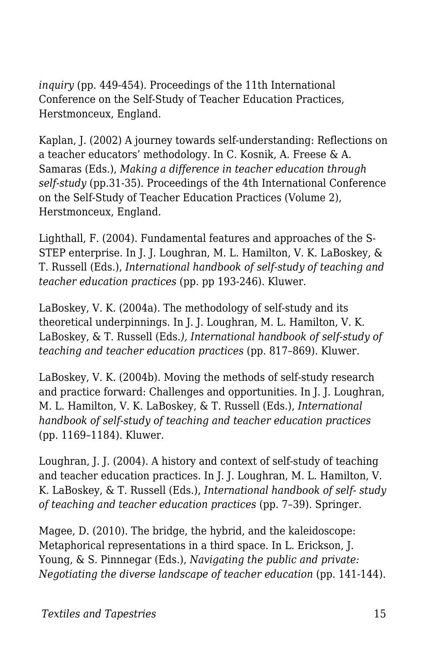*inquiry* (pp. 449-454). Proceedings of the 11th International Conference on the Self-Study of Teacher Education Practices, Herstmonceux, England.

Kaplan, J. (2002) A journey towards self-understanding: Reflections on a teacher educators' methodology. In C. Kosnik, A. Freese & A. Samaras (Eds.), *Making a difference in teacher education through self-study* (pp.31-35). Proceedings of the 4th International Conference on the Self-Study of Teacher Education Practices (Volume 2), Herstmonceux, England.

Lighthall, F. (2004). Fundamental features and approaches of the S-STEP enterprise. In J. J. Loughran, M. L. Hamilton, V. K. LaBoskey, & T. Russell (Eds.), *International handbook of self-study of teaching and teacher education practices* (pp. pp 193-246). Kluwer.

LaBoskey, V. K. (2004a). The methodology of self-study and its theoretical underpinnings. In J. J. Loughran, M. L. Hamilton, V. K. LaBoskey, & T. Russell (Eds*.), International handbook of self-study of teaching and teacher education practices* (pp. 817–869). Kluwer.

LaBoskey, V. K. (2004b). Moving the methods of self-study research and practice forward: Challenges and opportunities. In J. J. Loughran, M. L. Hamilton, V. K. LaBoskey, & T. Russell (Eds.), *International handbook of self-study of teaching and teacher education practices* (pp. 1169–1184). Kluwer.

Loughran, J. J. (2004). A history and context of self-study of teaching and teacher education practices. In J. J. Loughran, M. L. Hamilton, V. K. LaBoskey, & T. Russell (Eds.), *International handbook of self- study of teaching and teacher education practices* (pp. 7–39). Springer.

Magee, D. (2010). The bridge, the hybrid, and the kaleidoscope: Metaphorical representations in a third space. In L. Erickson, J. Young, & S. Pinnnegar (Eds.), *Navigating the public and private: Negotiating the diverse landscape of teacher education* (pp. 141-144).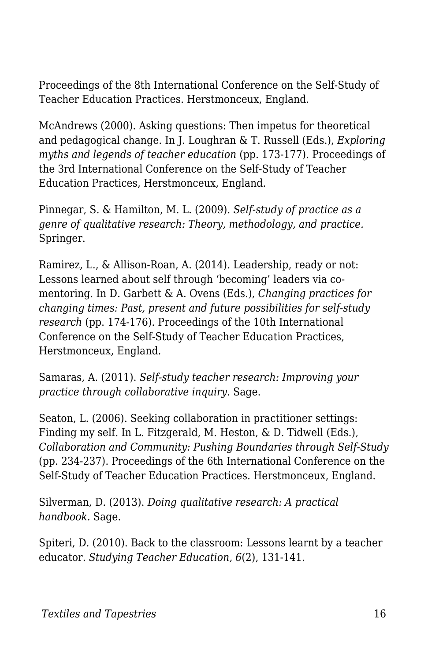Proceedings of the 8th International Conference on the Self-Study of Teacher Education Practices. Herstmonceux, England.

McAndrews (2000). Asking questions: Then impetus for theoretical and pedagogical change. In J. Loughran & T. Russell (Eds.), *Exploring myths and legends of teacher education* (pp. 173-177). Proceedings of the 3rd International Conference on the Self-Study of Teacher Education Practices, Herstmonceux, England.

Pinnegar, S. & Hamilton, M. L. (2009). *Self-study of practice as a genre of qualitative research: Theory, methodology, and practice.* Springer.

Ramirez, L., & Allison-Roan, A. (2014). Leadership, ready or not: Lessons learned about self through 'becoming' leaders via comentoring. In D. Garbett & A. Ovens (Eds.), *Changing practices for changing times: Past, present and future possibilities for self-study research* (pp. 174-176). Proceedings of the 10th International Conference on the Self-Study of Teacher Education Practices, Herstmonceux, England.

Samaras, A. (2011). *Self-study teacher research: Improving your practice through collaborative inquiry*. Sage.

Seaton, L. (2006). Seeking collaboration in practitioner settings: Finding my self. In L. Fitzgerald, M. Heston, & D. Tidwell (Eds.), *Collaboration and Community: Pushing Boundaries through Self-Study* (pp. 234-237). Proceedings of the 6th International Conference on the Self-Study of Teacher Education Practices. Herstmonceux, England.

Silverman, D. (2013). *Doing qualitative research: A practical handbook*. Sage.

Spiteri, D. (2010). Back to the classroom: Lessons learnt by a teacher educator. *Studying Teacher Education, 6*(2), 131-141.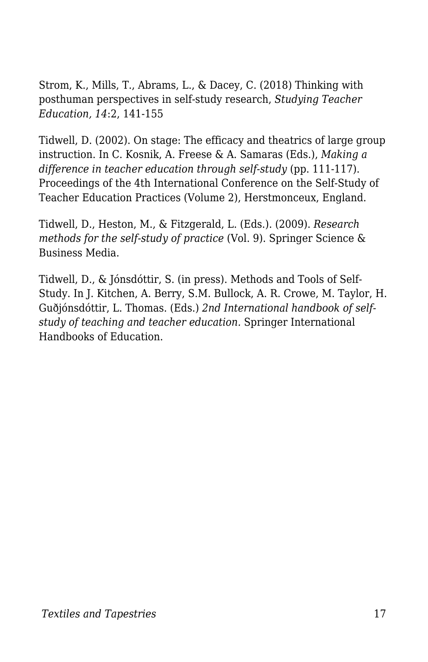Strom, K., Mills, T., Abrams, L., & Dacey, C. (2018) Thinking with posthuman perspectives in self-study research, *Studying Teacher Education, 14*:2, 141-155

Tidwell, D. (2002). On stage: The efficacy and theatrics of large group instruction. In C. Kosnik, A. Freese & A. Samaras (Eds.), *Making a difference in teacher education through self-study* (pp. 111-117). Proceedings of the 4th International Conference on the Self-Study of Teacher Education Practices (Volume 2), Herstmonceux, England.

Tidwell, D., Heston, M., & Fitzgerald, L. (Eds.). (2009). *Research methods for the self-study of practice* (Vol. 9). Springer Science & Business Media.

Tidwell, D., & Jónsdóttir, S. (in press). Methods and Tools of Self-Study. In J. Kitchen, A. Berry, S.M. Bullock, A. R. Crowe, M. Taylor, H. Guðjónsdóttir, L. Thomas. (Eds.) *2nd International handbook of selfstudy of teaching and teacher education.* Springer International Handbooks of Education.